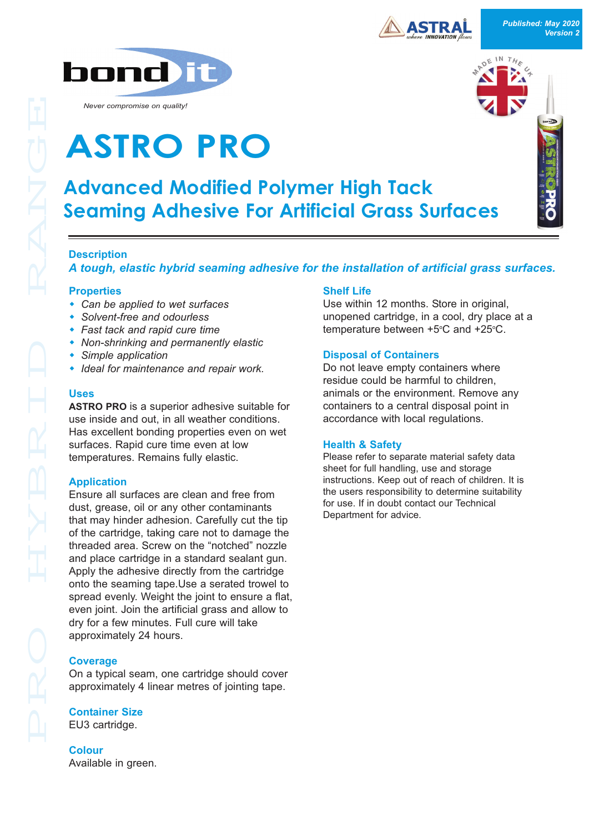



*Never compromise on quality!*

# **ASTRO PRO**

## **Advanced Modified Polymer High Tack Seaming Adhesive For Artificial Grass Surfaces**

#### **Description**

*A tough, elastic hybrid seaming adhesive for the installation of artificial grass surfaces.* 

#### **Properties**

- Can be applied to wet surfaces
- w *Solventfree and odourless*
- w *Fast tack and rapid cure time*
- **Non-shrinking and permanently elastic**
- **•** Simple application
- w *Ideal for maintenance and repair work.*

#### **Uses**

**ASTRO PRO** is a superior adhesive suitable for use inside and out, in all weather conditions. Has excellent bonding properties even on wet surfaces. Rapid cure time even at low temperatures. Remains fully elastic.

#### **Application**

Ensure all surfaces are clean and free from dust, grease, oil or any other contaminants that may hinder adhesion. Carefully cut the tip of the cartridge, taking care not to damage the threaded area. Screw on the "notched" nozzle and place cartridge in a standard sealant gun. Apply the adhesive directly from the cartridge onto the seaming tape.Use a serated trowel to spread evenly. Weight the joint to ensure a flat, even joint. Join the artificial grass and allow to dry for a few minutes. Full cure will take approximately 24 hours.

#### **Coverage**

On a typical seam, one cartridge should cover approximately 4 linear metres of jointing tape.

#### **Container Size**

EU3 cartridge.

**Colour** Available in green.

#### **Shelf Life**

Use within 12 months. Store in original, unopened cartridge, in a cool, dry place at a temperature between  $+5^{\circ}$ C and  $+25^{\circ}$ C.

#### **Disposal of Containers**

Do not leave empty containers where residue could be harmful to children, animals or the environment. Remove any containers to a central disposal point in accordance with local regulations.

#### **Health & Safety**

Please refer to separate material safety data sheet for full handling, use and storage instructions. Keep out of reach of children. It is the users responsibility to determine suitability for use. If in doubt contact our Technical Department for advice.